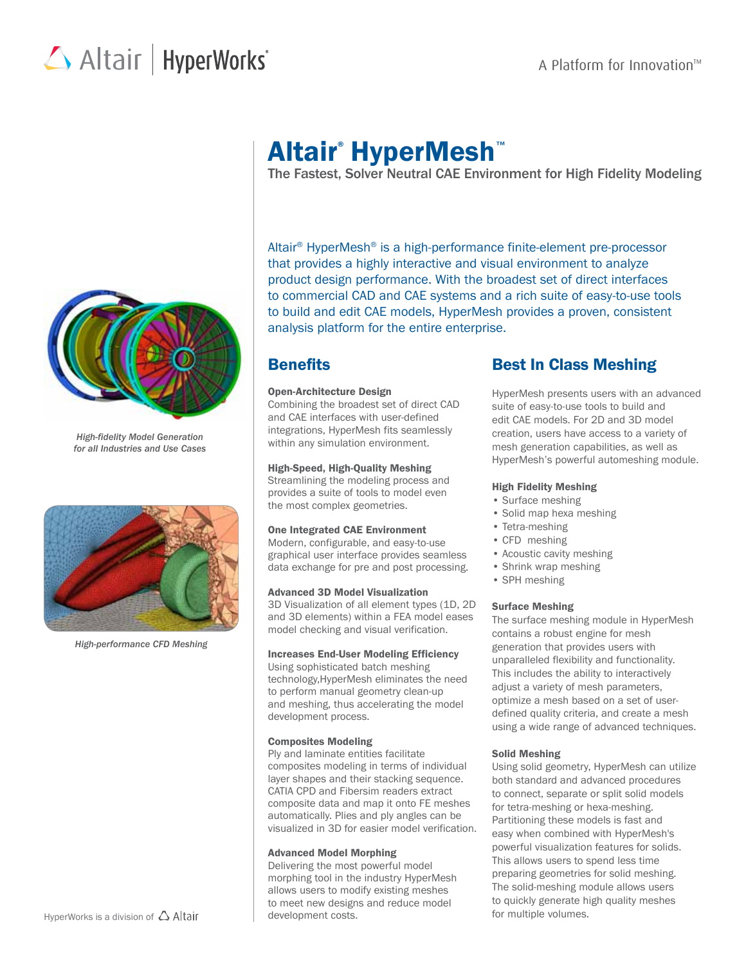# Altair | HyperWorks<sup>\*</sup>



*High-fidelity Model Generation for all Industries and Use Cases*



*High-performance CFD Meshing*

## Altair® HyperMesh™

The Fastest, Solver Neutral CAE Environment for High Fidelity Modeling

Altair® HyperMesh® is a high-performance finite-element pre-processor that provides a highly interactive and visual environment to analyze product design performance. With the broadest set of direct interfaces to commercial CAD and CAE systems and a rich suite of easy-to-use tools to build and edit CAE models, HyperMesh provides a proven, consistent analysis platform for the entire enterprise.

### **Benefits**

#### Open-Architecture Design

Combining the broadest set of direct CAD and CAE interfaces with user-defined integrations, HyperMesh fits seamlessly within any simulation environment.

#### High-Speed, High-Quality Meshing

Streamlining the modeling process and provides a suite of tools to model even the most complex geometries.

#### One Integrated CAE Environment

Modern, configurable, and easy-to-use graphical user interface provides seamless data exchange for pre and post processing.

#### Advanced 3D Model Visualization

3D Visualization of all element types (1D, 2D and 3D elements) within a FEA model eases model checking and visual verification.

#### Increases End-User Modeling Efficiency

Using sophisticated batch meshing technology,HyperMesh eliminates the need to perform manual geometry clean-up and meshing, thus accelerating the model development process.

#### Composites Modeling

Ply and laminate entities facilitate composites modeling in terms of individual layer shapes and their stacking sequence. CATIA CPD and Fibersim readers extract composite data and map it onto FE meshes automatically. Plies and ply angles can be visualized in 3D for easier model verification.

#### Advanced Model Morphing

Delivering the most powerful model morphing tool in the industry HyperMesh allows users to modify existing meshes to meet new designs and reduce model development costs.

### Best In Class Meshing

HyperMesh presents users with an advanced suite of easy-to-use tools to build and edit CAE models. For 2D and 3D model creation, users have access to a variety of mesh generation capabilities, as well as HyperMesh's powerful automeshing module.

#### High Fidelity Meshing

- Surface meshing
- Solid map hexa meshing
- Tetra-meshing
- CFD meshing
- Acoustic cavity meshing
- Shrink wrap meshing
- SPH meshing

### Surface Meshing

The surface meshing module in HyperMesh contains a robust engine for mesh generation that provides users with unparalleled flexibility and functionality. This includes the ability to interactively adjust a variety of mesh parameters, optimize a mesh based on a set of userdefined quality criteria, and create a mesh using a wide range of advanced techniques.

### Solid Meshing

Using solid geometry, HyperMesh can utilize both standard and advanced procedures to connect, separate or split solid models for tetra-meshing or hexa-meshing. Partitioning these models is fast and easy when combined with HyperMesh's powerful visualization features for solids. This allows users to spend less time preparing geometries for solid meshing. The solid-meshing module allows users to quickly generate high quality meshes for multiple volumes.